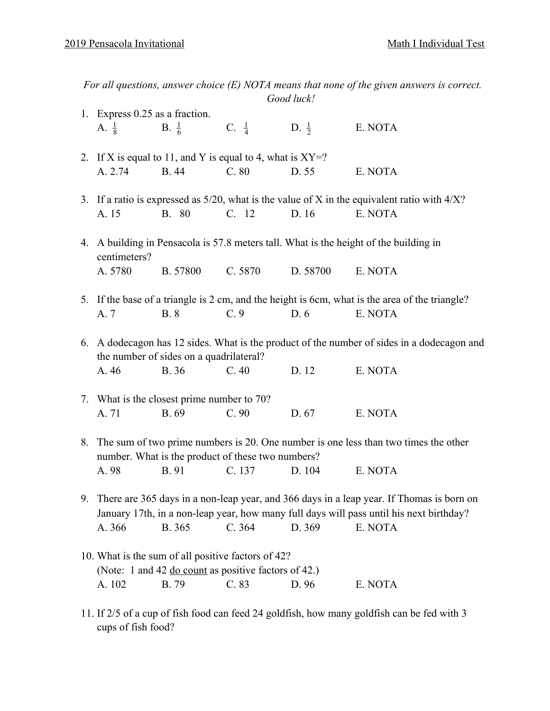| For all questions, answer choice $(E)$ NOTA means that none of the given answers is correct.<br>Good luck! |                                                                                                                                                                                     |                                            |                  |                  |                                                                                                               |  |  |
|------------------------------------------------------------------------------------------------------------|-------------------------------------------------------------------------------------------------------------------------------------------------------------------------------------|--------------------------------------------|------------------|------------------|---------------------------------------------------------------------------------------------------------------|--|--|
| 1. Express 0.25 as a fraction.                                                                             |                                                                                                                                                                                     |                                            |                  |                  |                                                                                                               |  |  |
|                                                                                                            | A. $\frac{1}{8}$                                                                                                                                                                    | <b>B.</b> $\frac{1}{6}$                    | $C. \frac{1}{4}$ | D. $\frac{1}{2}$ | E. NOTA                                                                                                       |  |  |
|                                                                                                            | 2. If X is equal to 11, and Y is equal to 4, what is $XY=$ ?                                                                                                                        |                                            |                  |                  |                                                                                                               |  |  |
|                                                                                                            | A. 2.74                                                                                                                                                                             | <b>B.</b> 44                               | C.80             | D. 55            | E. NOTA                                                                                                       |  |  |
|                                                                                                            | A. 15                                                                                                                                                                               | B. 80                                      | C. 12            | D. 16            | 3. If a ratio is expressed as $5/20$ , what is the value of X in the equivalent ratio with $4/X$ ?<br>E. NOTA |  |  |
|                                                                                                            | 4. A building in Pensacola is 57.8 meters tall. What is the height of the building in<br>centimeters?                                                                               |                                            |                  |                  |                                                                                                               |  |  |
|                                                                                                            | A. 5780                                                                                                                                                                             | B. 57800                                   | C. 5870          | D. 58700         | E. NOTA                                                                                                       |  |  |
|                                                                                                            |                                                                                                                                                                                     |                                            |                  |                  | 5. If the base of a triangle is 2 cm, and the height is 6cm, what is the area of the triangle?                |  |  |
|                                                                                                            | A. 7                                                                                                                                                                                | <b>B.</b> 8                                | C.9              | D. 6             | E. NOTA                                                                                                       |  |  |
|                                                                                                            | 6. A dodecagon has 12 sides. What is the product of the number of sides in a dodecagon and<br>the number of sides on a quadrilateral?                                               |                                            |                  |                  |                                                                                                               |  |  |
|                                                                                                            | A. 46                                                                                                                                                                               | <b>B.</b> 36                               | C.40             | D. 12            | E. NOTA                                                                                                       |  |  |
|                                                                                                            |                                                                                                                                                                                     | 7. What is the closest prime number to 70? |                  |                  |                                                                                                               |  |  |
|                                                                                                            | A. 71                                                                                                                                                                               | B. 69                                      | C.90             | D. 67            | E. NOTA                                                                                                       |  |  |
|                                                                                                            | 8. The sum of two prime numbers is 20. One number is one less than two times the other<br>number. What is the product of these two numbers?                                         |                                            |                  |                  |                                                                                                               |  |  |
|                                                                                                            | A. 98                                                                                                                                                                               | B. 91                                      | C. 137           | D. 104           | E. NOTA                                                                                                       |  |  |
| 9.                                                                                                         | There are 365 days in a non-leap year, and 366 days in a leap year. If Thomas is born on<br>January 17th, in a non-leap year, how many full days will pass until his next birthday? |                                            |                  |                  |                                                                                                               |  |  |
|                                                                                                            | A. 366                                                                                                                                                                              | B. 365                                     | C.364            | D. 369           | E. NOTA                                                                                                       |  |  |
|                                                                                                            | 10. What is the sum of all positive factors of 42?<br>(Note: 1 and 42 <u>do count</u> as positive factors of 42.)                                                                   |                                            |                  |                  |                                                                                                               |  |  |
|                                                                                                            | A. 102                                                                                                                                                                              | B. 79                                      | C. 83            | D. 96            | E. NOTA                                                                                                       |  |  |
|                                                                                                            |                                                                                                                                                                                     |                                            |                  |                  | 11. If 2/5 of a cup of fish food can feed 24 goldfish, how many goldfish can be fed with 3                    |  |  |

cups of fish food?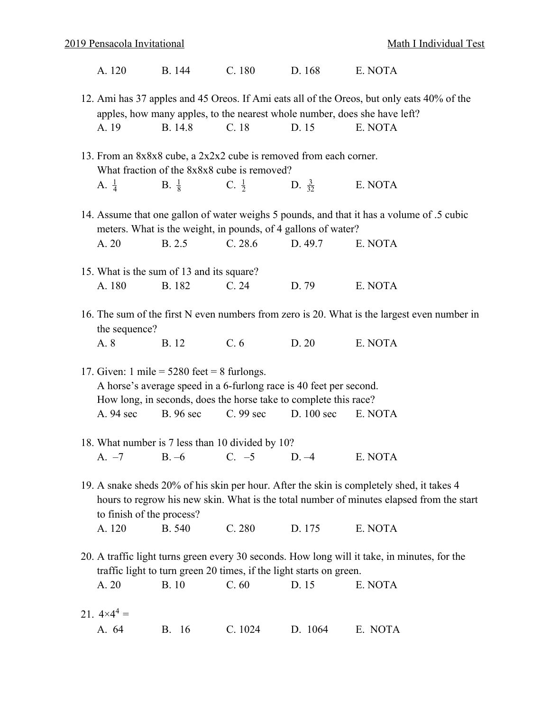|  | A. 120 | B. 144 | C.180 | D. 168 | E. NOTA |
|--|--------|--------|-------|--------|---------|
|--|--------|--------|-------|--------|---------|

- 12. Ami has 37 apples and 45 Oreos. If Ami eats all of the Oreos, but only eats 40% of the apples, how many apples, to the nearest whole number, does she have left? A. 19 B. 14.8 C. 18 D. 15 E. NOTA
- 13. From an 8x8x8 cube, a 2x2x2 cube is removed from each corner. What fraction of the 8x8x8 cube is removed? A.  $\frac{1}{4}$  $\rm B. \frac{1}{8}$  $C. \frac{1}{2}$ D.  $\frac{3}{32}$ E. NOTA
- 14. Assume that one gallon of water weighs 5 pounds, and that it has a volume of .5 cubic meters. What is the weight, in pounds, of 4 gallons of water? A. 20 B. 2.5 C. 28.6 D. 49.7 E. NOTA
- 15. What is the sum of 13 and its square? A. 180 B. 182 C. 24 D. 79 E. NOTA
- 16. The sum of the first N even numbers from zero is 20. What is the largest even number in the sequence?

| B. 12<br>A. 8 | C. 6 | D.20 | E. NOTA |
|---------------|------|------|---------|
|---------------|------|------|---------|

- 17. Given: 1 mile  $=$  5280 feet  $=$  8 furlongs. A horse's average speed in a 6-furlong race is 40 feet per second. How long, in seconds, does the horse take to complete this race? A. 94 sec B. 96 sec C. 99 sec D. 100 sec E. NOTA
- 18. What number is 7 less than 10 divided by 10? A. –7 B. –6 C. –5 D. –4 E. NOTA
- 19. A snake sheds 20% of his skin per hour. After the skin is completely shed, it takes 4 hours to regrow his new skin. What is the total number of minutes elapsed from the start to finish of the process? A. 120 B. 540 C. 280 D. 175 E. NOTA
- 20. A traffic light turns green every 30 seconds. How long will it take, in minutes, for the traffic light to turn green 20 times, if the light starts on green. A. 20 B. 10 C. 60 D. 15 E. NOTA

| 21. $4 \times 4^4 =$ |                                     |  |
|----------------------|-------------------------------------|--|
|                      | A. 64 B. 16 C. 1024 D. 1064 E. NOTA |  |